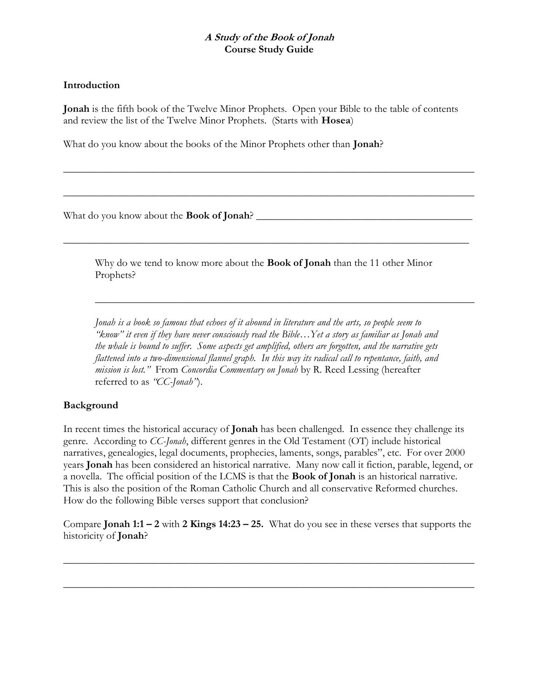# A Study of the Book of Jonah Course Study Guide

## Introduction

Jonah is the fifth book of the Twelve Minor Prophets. Open your Bible to the table of contents and review the list of the Twelve Minor Prophets. (Starts with Hosea)

 $\overline{\phantom{a}}$  , and the set of the set of the set of the set of the set of the set of the set of the set of the set of the set of the set of the set of the set of the set of the set of the set of the set of the set of the s

 $\overline{\phantom{a}}$  , and the set of the set of the set of the set of the set of the set of the set of the set of the set of the set of the set of the set of the set of the set of the set of the set of the set of the set of the s

What do you know about the books of the Minor Prophets other than Jonah?

What do you know about the Book of Jonah? \_\_\_\_\_\_\_\_\_\_\_\_\_\_\_\_\_\_\_\_\_\_\_\_\_\_\_\_\_\_\_\_\_\_\_\_\_\_\_\_\_

Why do we tend to know more about the **Book of Jonah** than the 11 other Minor Prophets?

 $\overline{\phantom{a}}$  , and the contract of the contract of the contract of the contract of the contract of the contract of the contract of the contract of the contract of the contract of the contract of the contract of the contrac

 $\overline{\phantom{a}}$  , and the contribution of the contribution of the contribution of the contribution of the contribution of the contribution of the contribution of the contribution of the contribution of the contribution of the

Jonah is a book so famous that echoes of it abound in literature and the arts, so people seem to "know" it even if they have never consciously read the Bible…Yet a story as familiar as Jonah and the whale is bound to suffer. Some aspects get amplified, others are forgotten, and the narrative gets flattened into a two-dimensional flannel graph. In this way its radical call to repentance, faith, and mission is lost." From Concordia Commentary on Jonah by R. Reed Lessing (hereafter referred to as "CC-Jonah").

# Background

In recent times the historical accuracy of **Jonah** has been challenged. In essence they challenge its genre. According to CC-Jonah, different genres in the Old Testament (OT) include historical narratives, genealogies, legal documents, prophecies, laments, songs, parables", etc. For over 2000 years Jonah has been considered an historical narrative. Many now call it fiction, parable, legend, or a novella. The official position of the LCMS is that the Book of Jonah is an historical narrative. This is also the position of the Roman Catholic Church and all conservative Reformed churches. How do the following Bible verses support that conclusion?

Compare Jonah 1:1 – 2 with 2 Kings  $14:23 - 25$ . What do you see in these verses that supports the historicity of Jonah?

 $\overline{\phantom{a}}$  , and the set of the set of the set of the set of the set of the set of the set of the set of the set of the set of the set of the set of the set of the set of the set of the set of the set of the set of the s

\_\_\_\_\_\_\_\_\_\_\_\_\_\_\_\_\_\_\_\_\_\_\_\_\_\_\_\_\_\_\_\_\_\_\_\_\_\_\_\_\_\_\_\_\_\_\_\_\_\_\_\_\_\_\_\_\_\_\_\_\_\_\_\_\_\_\_\_\_\_\_\_\_\_\_\_\_\_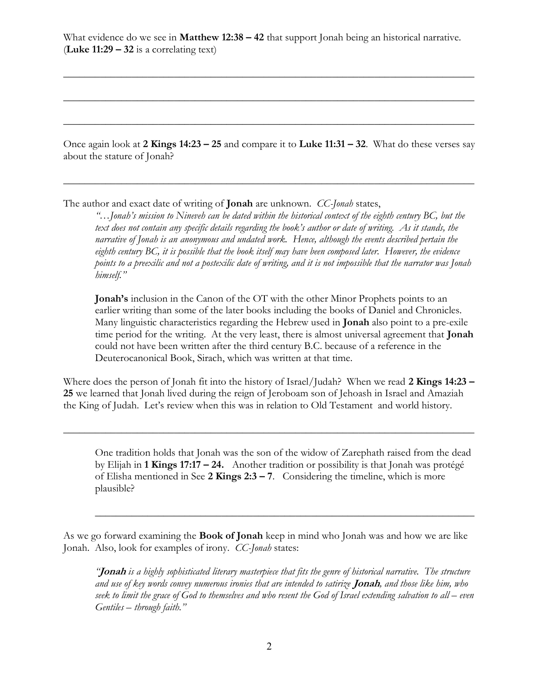What evidence do we see in **Matthew 12:38 – 42** that support Jonah being an historical narrative. (Luke  $11:29 - 32$  is a correlating text)

 $\overline{\phantom{a}}$  , and the set of the set of the set of the set of the set of the set of the set of the set of the set of the set of the set of the set of the set of the set of the set of the set of the set of the set of the s

 $\overline{\phantom{a}}$  , and the set of the set of the set of the set of the set of the set of the set of the set of the set of the set of the set of the set of the set of the set of the set of the set of the set of the set of the s

 $\overline{\phantom{a}}$  , and the set of the set of the set of the set of the set of the set of the set of the set of the set of the set of the set of the set of the set of the set of the set of the set of the set of the set of the s

Once again look at 2 Kings 14:23 – 25 and compare it to Luke 11:31 – 32. What do these verses say about the stature of Jonah?

 $\overline{\phantom{a}}$  , and the set of the set of the set of the set of the set of the set of the set of the set of the set of the set of the set of the set of the set of the set of the set of the set of the set of the set of the s

The author and exact date of writing of **Jonah** are unknown. *CC-Jonah* states,

"…Jonah's mission to Nineveh can be dated within the historical context of the eighth century BC, but the text does not contain any specific details regarding the book's author or date of writing. As it stands, the narrative of Jonah is an anonymous and undated work. Hence, although the events described pertain the eighth century BC, it is possible that the book itself may have been composed later. However, the evidence points to a preexilic and not a postexilic date of writing, and it is not impossible that the narrator was Jonah himself."

Jonah's inclusion in the Canon of the OT with the other Minor Prophets points to an earlier writing than some of the later books including the books of Daniel and Chronicles. Many linguistic characteristics regarding the Hebrew used in **Jonah** also point to a pre-exile time period for the writing. At the very least, there is almost universal agreement that **Jonah** could not have been written after the third century B.C. because of a reference in the Deuterocanonical Book, Sirach, which was written at that time.

Where does the person of Jonah fit into the history of Israel/Judah? When we read 2 Kings 14:23 – 25 we learned that Jonah lived during the reign of Jeroboam son of Jehoash in Israel and Amaziah the King of Judah. Let's review when this was in relation to Old Testament and world history.

 $\overline{\phantom{a}}$  , and the set of the set of the set of the set of the set of the set of the set of the set of the set of the set of the set of the set of the set of the set of the set of the set of the set of the set of the s

One tradition holds that Jonah was the son of the widow of Zarephath raised from the dead by Elijah in 1 Kings 17:17 – 24. Another tradition or possibility is that Jonah was protégé of Elisha mentioned in See  $2$  Kings  $2:3 - 7$ . Considering the timeline, which is more plausible?

 $\overline{\phantom{a}}$  , and the contract of the contract of the contract of the contract of the contract of the contract of the contract of the contract of the contract of the contract of the contract of the contract of the contrac

As we go forward examining the Book of Jonah keep in mind who Jonah was and how we are like Jonah. Also, look for examples of irony. CC-Jonah states:

"**Jonah** is a highly sophisticated literary masterpiece that fits the genre of historical narrative. The structure and use of key words convey numerous ironies that are intended to satirize **Jonah**, and those like him, who seek to limit the grace of God to themselves and who resent the God of Israel extending salvation to all – even Gentiles – through faith."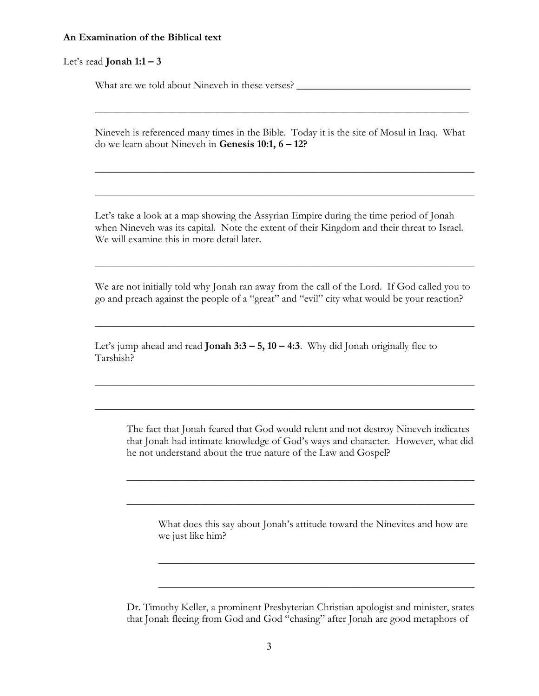#### An Examination of the Biblical text

### Let's read **Jonah 1:1 – 3**

What are we told about Nineveh in these verses? \_\_\_\_\_\_\_\_\_\_\_\_\_\_\_\_\_\_\_\_\_\_\_\_\_\_\_\_\_\_\_\_\_

Nineveh is referenced many times in the Bible. Today it is the site of Mosul in Iraq. What do we learn about Nineveh in Genesis 10:1, 6 – 12?

 $\overline{\phantom{a}}$  , and the contract of the contract of the contract of the contract of the contract of the contract of the contract of the contract of the contract of the contract of the contract of the contract of the contrac

 $\overline{\phantom{a}}$  , and the contract of the contract of the contract of the contract of the contract of the contract of the contract of the contract of the contract of the contract of the contract of the contract of the contrac

 $\overline{\phantom{a}}$  , and the contract of the contract of the contract of the contract of the contract of the contract of the contract of the contract of the contract of the contract of the contract of the contract of the contrac

Let's take a look at a map showing the Assyrian Empire during the time period of Jonah when Nineveh was its capital. Note the extent of their Kingdom and their threat to Israel. We will examine this in more detail later.

We are not initially told why Jonah ran away from the call of the Lord. If God called you to go and preach against the people of a "great" and "evil" city what would be your reaction?

 $\overline{\phantom{a}}$  , and the contract of the contract of the contract of the contract of the contract of the contract of the contract of the contract of the contract of the contract of the contract of the contract of the contrac

 $\overline{\phantom{a}}$  , and the contract of the contract of the contract of the contract of the contract of the contract of the contract of the contract of the contract of the contract of the contract of the contract of the contrac

 $\overline{\phantom{a}}$  , and the contract of the contract of the contract of the contract of the contract of the contract of the contract of the contract of the contract of the contract of the contract of the contract of the contrac

 $\overline{\phantom{a}}$  , and the contract of the contract of the contract of the contract of the contract of the contract of the contract of the contract of the contract of the contract of the contract of the contract of the contrac

Let's jump ahead and read **Jonah 3:3 – 5, 10 – 4:3**. Why did Jonah originally flee to Tarshish?

The fact that Jonah feared that God would relent and not destroy Nineveh indicates that Jonah had intimate knowledge of God's ways and character. However, what did he not understand about the true nature of the Law and Gospel?

 $\overline{\phantom{a}}$  , and the contract of the contract of the contract of the contract of the contract of the contract of the contract of the contract of the contract of the contract of the contract of the contract of the contrac

 $\overline{\phantom{a}}$  , and the contract of the contract of the contract of the contract of the contract of the contract of the contract of the contract of the contract of the contract of the contract of the contract of the contrac

What does this say about Jonah's attitude toward the Ninevites and how are we just like him?

 $\frac{1}{2}$  ,  $\frac{1}{2}$  ,  $\frac{1}{2}$  ,  $\frac{1}{2}$  ,  $\frac{1}{2}$  ,  $\frac{1}{2}$  ,  $\frac{1}{2}$  ,  $\frac{1}{2}$  ,  $\frac{1}{2}$  ,  $\frac{1}{2}$  ,  $\frac{1}{2}$  ,  $\frac{1}{2}$  ,  $\frac{1}{2}$  ,  $\frac{1}{2}$  ,  $\frac{1}{2}$  ,  $\frac{1}{2}$  ,  $\frac{1}{2}$  ,  $\frac{1}{2}$  ,  $\frac{1$ 

Dr. Timothy Keller, a prominent Presbyterian Christian apologist and minister, states that Jonah fleeing from God and God "chasing" after Jonah are good metaphors of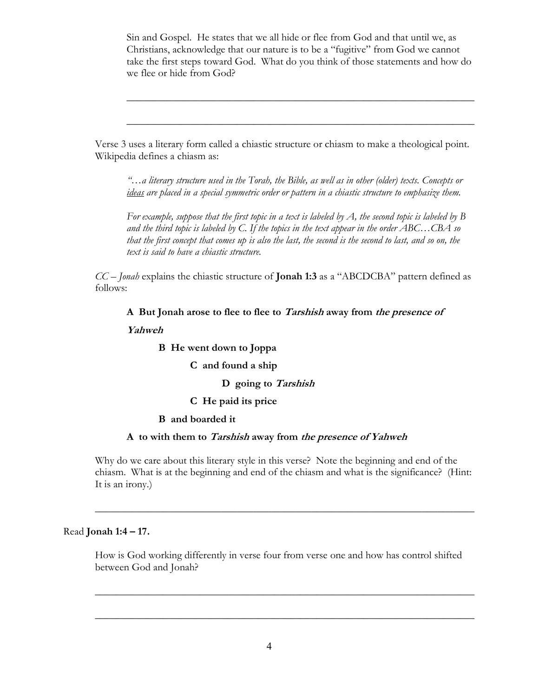Sin and Gospel. He states that we all hide or flee from God and that until we, as Christians, acknowledge that our nature is to be a "fugitive" from God we cannot take the first steps toward God. What do you think of those statements and how do we flee or hide from God?

 $\overline{\phantom{a}}$  , and the contract of the contract of the contract of the contract of the contract of the contract of the contract of the contract of the contract of the contract of the contract of the contract of the contrac

 $\overline{\phantom{a}}$  , and the contract of the contract of the contract of the contract of the contract of the contract of the contract of the contract of the contract of the contract of the contract of the contract of the contrac

Verse 3 uses a literary form called a chiastic structure or chiasm to make a theological point. Wikipedia defines a chiasm as:

"…a literary structure used in the Torah, the Bible, as well as in other (older) texts. Concepts or ideas are placed in a special symmetric order or pattern in a chiastic structure to emphasize them.

For example, suppose that the first topic in a text is labeled by  $A$ , the second topic is labeled by  $B$ and the third topic is labeled by C. If the topics in the text appear in the order  $ABC...CBA$  so that the first concept that comes up is also the last, the second is the second to last, and so on, the text is said to have a chiastic structure.

 $CC$  – Jonah explains the chiastic structure of **Jonah 1:3** as a "ABCDCBA" pattern defined as follows:

A But Jonah arose to flee to flee to Tarshish away from the presence of Yahweh

B He went down to Joppa

C and found a ship

D going to Tarshish

C He paid its price

#### B and boarded it

### A to with them to Tarshish away from the presence of Yahweh

Why do we care about this literary style in this verse? Note the beginning and end of the chiasm. What is at the beginning and end of the chiasm and what is the significance? (Hint: It is an irony.)

 $\overline{\phantom{a}}$  , and the contract of the contract of the contract of the contract of the contract of the contract of the contract of the contract of the contract of the contract of the contract of the contract of the contrac

### Read Jonah 1:4 – 17.

How is God working differently in verse four from verse one and how has control shifted between God and Jonah?

 $\overline{\phantom{a}}$  , and the contract of the contract of the contract of the contract of the contract of the contract of the contract of the contract of the contract of the contract of the contract of the contract of the contrac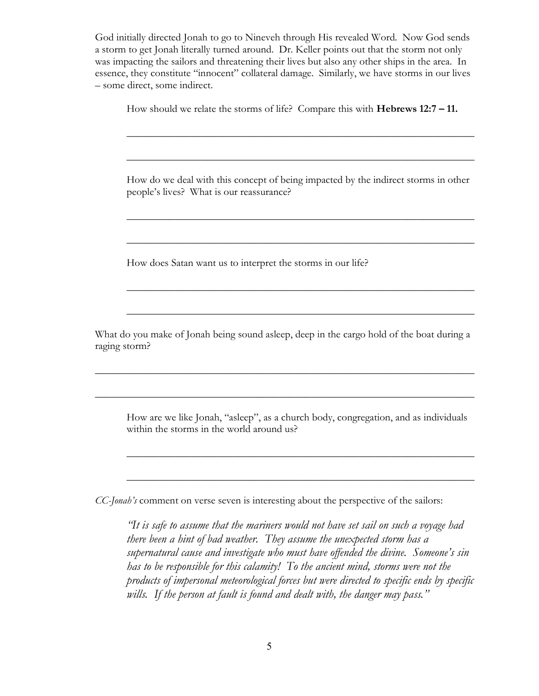God initially directed Jonah to go to Nineveh through His revealed Word. Now God sends a storm to get Jonah literally turned around. Dr. Keller points out that the storm not only was impacting the sailors and threatening their lives but also any other ships in the area. In essence, they constitute "innocent" collateral damage. Similarly, we have storms in our lives – some direct, some indirect.

How should we relate the storms of life? Compare this with Hebrews 12:7 – 11.

How do we deal with this concept of being impacted by the indirect storms in other people's lives? What is our reassurance?

 $\overline{\phantom{a}}$  , and the contract of the contract of the contract of the contract of the contract of the contract of the contract of the contract of the contract of the contract of the contract of the contract of the contrac

 $\overline{\phantom{a}}$  , and the contract of the contract of the contract of the contract of the contract of the contract of the contract of the contract of the contract of the contract of the contract of the contract of the contrac

 $\overline{\phantom{a}}$  , and the contract of the contract of the contract of the contract of the contract of the contract of the contract of the contract of the contract of the contract of the contract of the contract of the contrac

 $\overline{\phantom{a}}$  , and the contract of the contract of the contract of the contract of the contract of the contract of the contract of the contract of the contract of the contract of the contract of the contract of the contrac

 $\overline{\phantom{a}}$  , and the contract of the contract of the contract of the contract of the contract of the contract of the contract of the contract of the contract of the contract of the contract of the contract of the contrac

 $\overline{\phantom{a}}$  , and the contract of the contract of the contract of the contract of the contract of the contract of the contract of the contract of the contract of the contract of the contract of the contract of the contrac

How does Satan want us to interpret the storms in our life?

What do you make of Jonah being sound asleep, deep in the cargo hold of the boat during a raging storm?

 $\overline{\phantom{a}}$  , and the contract of the contract of the contract of the contract of the contract of the contract of the contract of the contract of the contract of the contract of the contract of the contract of the contrac

 $\overline{\phantom{a}}$  , and the contract of the contract of the contract of the contract of the contract of the contract of the contract of the contract of the contract of the contract of the contract of the contract of the contrac

How are we like Jonah, "asleep", as a church body, congregation, and as individuals within the storms in the world around us?

 $\overline{\phantom{a}}$  , and the contract of the contract of the contract of the contract of the contract of the contract of the contract of the contract of the contract of the contract of the contract of the contract of the contrac

 $\overline{\phantom{a}}$  , and the contract of the contract of the contract of the contract of the contract of the contract of the contract of the contract of the contract of the contract of the contract of the contract of the contrac

CC-Jonah's comment on verse seven is interesting about the perspective of the sailors:

"It is safe to assume that the mariners would not have set sail on such a voyage had there been a hint of bad weather. They assume the unexpected storm has a supernatural cause and investigate who must have offended the divine. Someone's sin has to be responsible for this calamity! To the ancient mind, storms were not the products of impersonal meteorological forces but were directed to specific ends by specific wills. If the person at fault is found and dealt with, the danger may pass."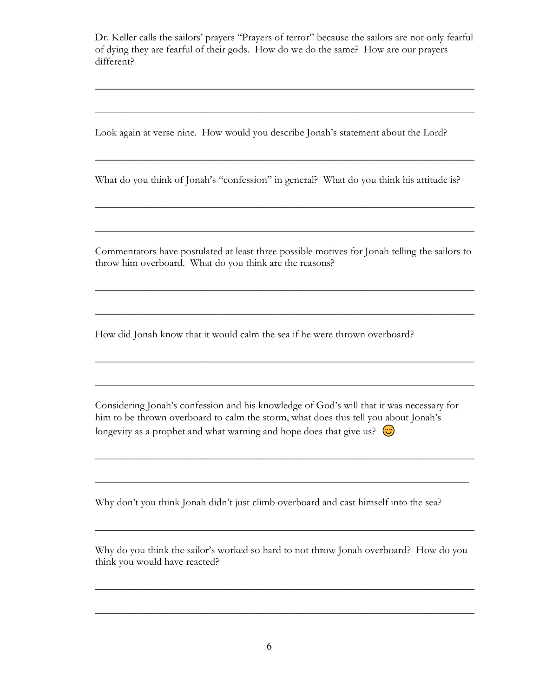Dr. Keller calls the sailors' prayers "Prayers of terror" because the sailors are not only fearful of dying they are fearful of their gods. How do we do the same? How are our prayers different?

 $\overline{\phantom{a}}$  , and the contract of the contract of the contract of the contract of the contract of the contract of the contract of the contract of the contract of the contract of the contract of the contract of the contrac

 $\overline{\phantom{a}}$  , and the contract of the contract of the contract of the contract of the contract of the contract of the contract of the contract of the contract of the contract of the contract of the contract of the contrac

 $\overline{\phantom{a}}$  , and the contract of the contract of the contract of the contract of the contract of the contract of the contract of the contract of the contract of the contract of the contract of the contract of the contrac

 $\overline{\phantom{a}}$  , and the contract of the contract of the contract of the contract of the contract of the contract of the contract of the contract of the contract of the contract of the contract of the contract of the contrac

 $\overline{\phantom{a}}$  , and the contract of the contract of the contract of the contract of the contract of the contract of the contract of the contract of the contract of the contract of the contract of the contract of the contrac

Look again at verse nine. How would you describe Jonah's statement about the Lord?

What do you think of Jonah's "confession" in general? What do you think his attitude is?

Commentators have postulated at least three possible motives for Jonah telling the sailors to throw him overboard. What do you think are the reasons?

 $\overline{\phantom{a}}$  , and the contract of the contract of the contract of the contract of the contract of the contract of the contract of the contract of the contract of the contract of the contract of the contract of the contrac

 $\overline{\phantom{a}}$  , and the contract of the contract of the contract of the contract of the contract of the contract of the contract of the contract of the contract of the contract of the contract of the contract of the contrac

 $\overline{\phantom{a}}$  , and the contract of the contract of the contract of the contract of the contract of the contract of the contract of the contract of the contract of the contract of the contract of the contract of the contrac

How did Jonah know that it would calm the sea if he were thrown overboard?

Considering Jonah's confession and his knowledge of God's will that it was necessary for him to be thrown overboard to calm the storm, what does this tell you about Jonah's longevity as a prophet and what warning and hope does that give us?  $\circledcirc$ 

 $\overline{\phantom{a}}$  , and the contract of the contract of the contract of the contract of the contract of the contract of the contract of the contract of the contract of the contract of the contract of the contract of the contrac

 $\overline{\phantom{a}}$  , and the contract of the contract of the contract of the contract of the contract of the contract of the contract of the contract of the contract of the contract of the contract of the contract of the contrac

Why don't you think Jonah didn't just climb overboard and cast himself into the sea?

Why do you think the sailor's worked so hard to not throw Jonah overboard? How do you think you would have reacted?

 $\overline{\phantom{a}}$  , and the contract of the contract of the contract of the contract of the contract of the contract of the contract of the contract of the contract of the contract of the contract of the contract of the contrac

 $\overline{\phantom{a}}$  , and the contract of the contract of the contract of the contract of the contract of the contract of the contract of the contract of the contract of the contract of the contract of the contract of the contrac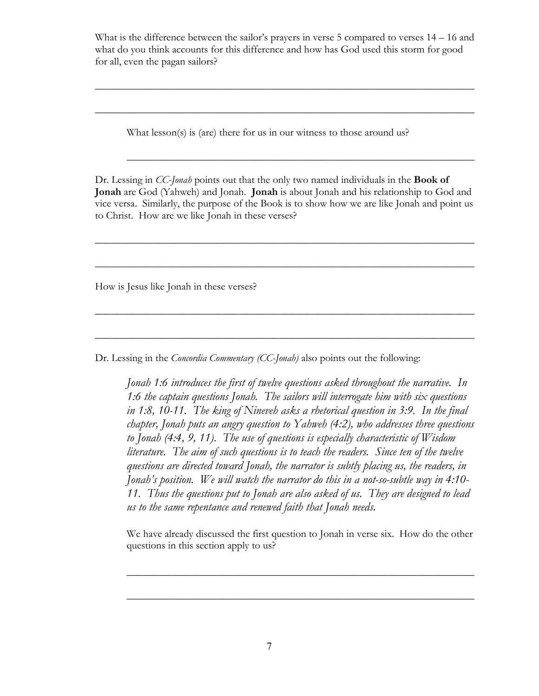What is the difference between the sailor's prayers in verse 5 compared to verses  $14 - 16$  and what do you think accounts for this difference and how has God used this storm for good for all, even the pagan sailors?

 $\overline{\phantom{a}}$  , and the contract of the contract of the contract of the contract of the contract of the contract of the contract of the contract of the contract of the contract of the contract of the contract of the contrac

 $\overline{\phantom{a}}$  , and the contract of the contract of the contract of the contract of the contract of the contract of the contract of the contract of the contract of the contract of the contract of the contract of the contrac

 $\overline{\phantom{a}}$  , and the contract of the contract of the contract of the contract of the contract of the contract of the contract of the contract of the contract of the contract of the contract of the contract of the contrac

What lesson(s) is (are) there for us in our witness to those around us?

Dr. Lessing in *CC-Jonah* points out that the only two named individuals in the **Book of** Jonah are God (Yahweh) and Jonah. Jonah is about Jonah and his relationship to God and vice versa. Similarly, the purpose of the Book is to show how we are like Jonah and point us to Christ. How are we like Jonah in these verses?

 $\overline{\phantom{a}}$  , and the contract of the contract of the contract of the contract of the contract of the contract of the contract of the contract of the contract of the contract of the contract of the contract of the contrac

 $\overline{\phantom{a}}$  , and the contract of the contract of the contract of the contract of the contract of the contract of the contract of the contract of the contract of the contract of the contract of the contract of the contrac

 $\overline{\phantom{a}}$  , and the contract of the contract of the contract of the contract of the contract of the contract of the contract of the contract of the contract of the contract of the contract of the contract of the contrac

 $\overline{\phantom{a}}$  , and the contract of the contract of the contract of the contract of the contract of the contract of the contract of the contract of the contract of the contract of the contract of the contract of the contrac

How is Jesus like Jonah in these verses?

Dr. Lessing in the *Concordia Commentary (CC-Jonah)* also points out the following:

Jonah 1:6 introduces the first of twelve questions asked throughout the narrative. In 1:6 the captain questions Jonah. The sailors will interrogate him with six questions in 1:8, 10-11. The king of Nineveh asks a rhetorical question in 3:9. In the final chapter, Jonah puts an angry question to Yahweh (4:2), who addresses three questions to Jonah (4:4, 9, 11). The use of questions is especially characteristic of Wisdom literature. The aim of such questions is to teach the readers. Since ten of the twelve questions are directed toward Jonah, the narrator is subtly placing us, the readers, in Jonah's position. We will watch the narrator do this in a not-so-subtle way in 4:10- 11. Thus the questions put to Jonah are also asked of us. They are designed to lead us to the same repentance and renewed faith that Jonah needs.

We have already discussed the first question to Jonah in verse six. How do the other questions in this section apply to us?

 $\overline{\phantom{a}}$  , and the contract of the contract of the contract of the contract of the contract of the contract of the contract of the contract of the contract of the contract of the contract of the contract of the contrac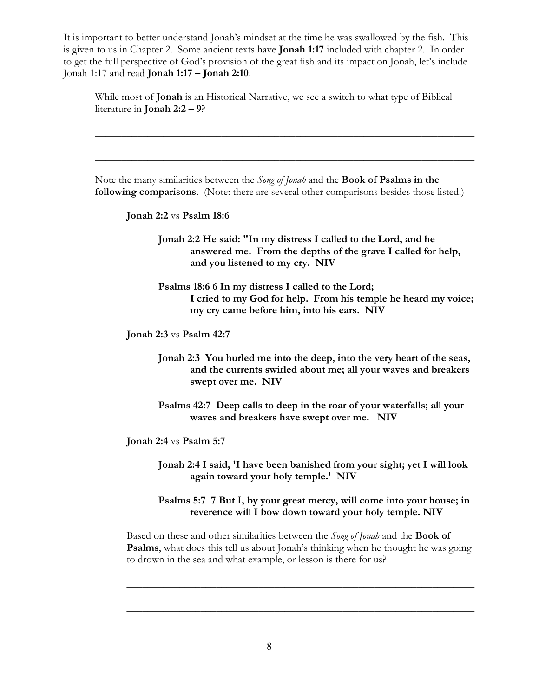It is important to better understand Jonah's mindset at the time he was swallowed by the fish. This is given to us in Chapter 2. Some ancient texts have Jonah 1:17 included with chapter 2. In order to get the full perspective of God's provision of the great fish and its impact on Jonah, let's include Jonah 1:17 and read **Jonah 1:17 – Jonah 2:10**.

While most of **Jonah** is an Historical Narrative, we see a switch to what type of Biblical literature in Jonah 2:2 – 9?

Note the many similarities between the Song of Jonah and the Book of Psalms in the following comparisons. (Note: there are several other comparisons besides those listed.)

 $\overline{\phantom{a}}$  , and the contract of the contract of the contract of the contract of the contract of the contract of the contract of the contract of the contract of the contract of the contract of the contract of the contrac

 $\overline{\phantom{a}}$  , and the contract of the contract of the contract of the contract of the contract of the contract of the contract of the contract of the contract of the contract of the contract of the contract of the contrac

Jonah 2:2 vs Psalm 18:6

Jonah 2:2 He said: "In my distress I called to the Lord, and he answered me. From the depths of the grave I called for help, and you listened to my cry. NIV

Psalms 18:6 6 In my distress I called to the Lord; I cried to my God for help. From his temple he heard my voice; my cry came before him, into his ears. NIV

Jonah 2:3 vs Psalm 42:7

Jonah 2:3 You hurled me into the deep, into the very heart of the seas, and the currents swirled about me; all your waves and breakers swept over me. NIV

Psalms 42:7 Deep calls to deep in the roar of your waterfalls; all your waves and breakers have swept over me. NIV

Jonah 2:4 vs Psalm 5:7

Jonah 2:4 I said, 'I have been banished from your sight; yet I will look again toward your holy temple.' NIV

Psalms 5:7 7 But I, by your great mercy, will come into your house; in reverence will I bow down toward your holy temple. NIV

Based on these and other similarities between the *Song of Jonah* and the **Book of** Psalms, what does this tell us about Jonah's thinking when he thought he was going to drown in the sea and what example, or lesson is there for us?

 $\overline{\phantom{a}}$  , and the contract of the contract of the contract of the contract of the contract of the contract of the contract of the contract of the contract of the contract of the contract of the contract of the contrac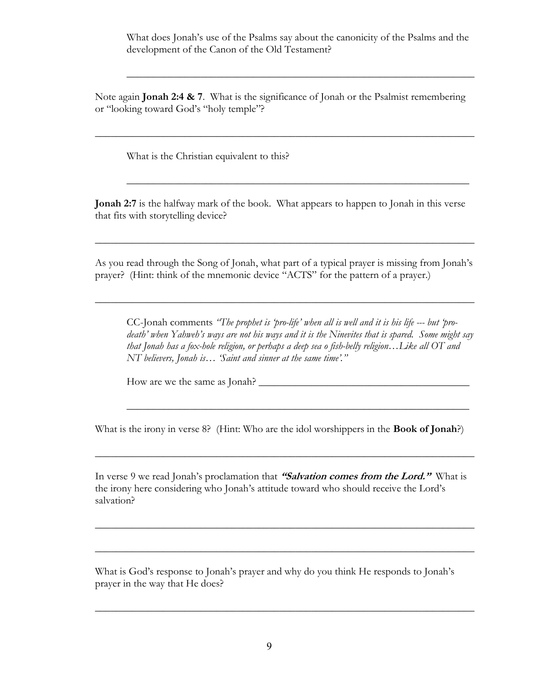What does Jonah's use of the Psalms say about the canonicity of the Psalms and the development of the Canon of the Old Testament?

 $\overline{\phantom{a}}$  , and the contract of the contract of the contract of the contract of the contract of the contract of the contract of the contract of the contract of the contract of the contract of the contract of the contrac

Note again **Jonah 2:4 & 7**. What is the significance of Jonah or the Psalmist remembering or "looking toward God's "holy temple"?

 $\overline{\phantom{a}}$  , and the contract of the contract of the contract of the contract of the contract of the contract of the contract of the contract of the contract of the contract of the contract of the contract of the contrac

 $\overline{\phantom{a}}$  , and the contract of the contract of the contract of the contract of the contract of the contract of the contract of the contract of the contract of the contract of the contract of the contract of the contrac

What is the Christian equivalent to this?

Jonah 2:7 is the halfway mark of the book. What appears to happen to Jonah in this verse that fits with storytelling device?

As you read through the Song of Jonah, what part of a typical prayer is missing from Jonah's prayer? (Hint: think of the mnemonic device "ACTS" for the pattern of a prayer.)

 $\overline{\phantom{a}}$  , and the contract of the contract of the contract of the contract of the contract of the contract of the contract of the contract of the contract of the contract of the contract of the contract of the contrac

 $\overline{\phantom{a}}$  , and the contract of the contract of the contract of the contract of the contract of the contract of the contract of the contract of the contract of the contract of the contract of the contract of the contrac

CC-Jonah comments "The prophet is 'pro-life' when all is well and it is his life --- but 'prodeath' when Yahweh's ways are not his ways and it is the Ninevites that is spared. Some might say that Jonah has a fox-hole religion, or perhaps a deep sea o fish-belly religion…Like all OT and NT believers, Jonah is… 'Saint and sinner at the same time'."

 $\overline{\phantom{a}}$  , and the contract of the contract of the contract of the contract of the contract of the contract of the contract of the contract of the contract of the contract of the contract of the contract of the contrac

How are we the same as Jonah? \_\_\_\_\_\_\_\_\_\_\_\_\_\_\_\_\_\_\_\_\_\_\_\_\_\_\_\_\_\_\_\_\_\_\_\_\_\_\_\_

What is the irony in verse 8? (Hint: Who are the idol worshippers in the **Book of Jonah**?)

 $\overline{\phantom{a}}$  , and the contract of the contract of the contract of the contract of the contract of the contract of the contract of the contract of the contract of the contract of the contract of the contract of the contrac

In verse 9 we read Jonah's proclamation that "Salvation comes from the Lord." What is the irony here considering who Jonah's attitude toward who should receive the Lord's salvation?

 $\overline{\phantom{a}}$  , and the contract of the contract of the contract of the contract of the contract of the contract of the contract of the contract of the contract of the contract of the contract of the contract of the contrac

 $\overline{\phantom{a}}$  , and the contract of the contract of the contract of the contract of the contract of the contract of the contract of the contract of the contract of the contract of the contract of the contract of the contrac

 $\overline{\phantom{a}}$  , and the contract of the contract of the contract of the contract of the contract of the contract of the contract of the contract of the contract of the contract of the contract of the contract of the contrac

What is God's response to Jonah's prayer and why do you think He responds to Jonah's prayer in the way that He does?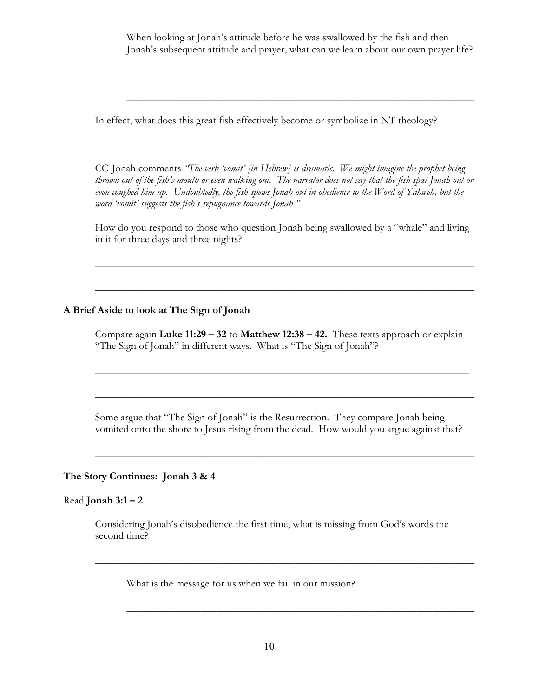When looking at Jonah's attitude before he was swallowed by the fish and then Jonah's subsequent attitude and prayer, what can we learn about our own prayer life?

 $\overline{\phantom{a}}$  , and the contract of the contract of the contract of the contract of the contract of the contract of the contract of the contract of the contract of the contract of the contract of the contract of the contrac

 $\overline{\phantom{a}}$  , and the contract of the contract of the contract of the contract of the contract of the contract of the contract of the contract of the contract of the contract of the contract of the contract of the contrac

In effect, what does this great fish effectively become or symbolize in NT theology?

CC-Jonah comments "The verb 'vomit' [in Hebrew] is dramatic. We might imagine the prophet being thrown out of the fish's mouth or even walking out. The narrator does not say that the fish spat Jonah out or even coughed him up. Undoubtedly, the fish spews Jonah out in obedience to the Word of Yahweh, but the word 'vomit' suggests the fish's repugnance towards Jonah."

 $\overline{\phantom{a}}$  , and the contract of the contract of the contract of the contract of the contract of the contract of the contract of the contract of the contract of the contract of the contract of the contract of the contrac

How do you respond to those who question Jonah being swallowed by a "whale" and living in it for three days and three nights?

 $\overline{\phantom{a}}$  , and the contract of the contract of the contract of the contract of the contract of the contract of the contract of the contract of the contract of the contract of the contract of the contract of the contrac

 $\overline{\phantom{a}}$  , and the contract of the contract of the contract of the contract of the contract of the contract of the contract of the contract of the contract of the contract of the contract of the contract of the contrac

# A Brief Aside to look at The Sign of Jonah

Compare again Luke  $11:29 - 32$  to Matthew  $12:38 - 42$ . These texts approach or explain "The Sign of Jonah" in different ways. What is "The Sign of Jonah"?

 $\overline{\phantom{a}}$  , and the contract of the contract of the contract of the contract of the contract of the contract of the contract of the contract of the contract of the contract of the contract of the contract of the contrac

 $\overline{\phantom{a}}$  , and the contract of the contract of the contract of the contract of the contract of the contract of the contract of the contract of the contract of the contract of the contract of the contract of the contrac

 $\overline{\phantom{a}}$  , and the contract of the contract of the contract of the contract of the contract of the contract of the contract of the contract of the contract of the contract of the contract of the contract of the contrac

Some argue that "The Sign of Jonah" is the Resurrection. They compare Jonah being vomited onto the shore to Jesus rising from the dead. How would you argue against that?

### The Story Continues: Jonah 3 & 4

### Read **Jonah 3:1 – 2**.

Considering Jonah's disobedience the first time, what is missing from God's words the second time?

 $\overline{\phantom{a}}$  , and the contract of the contract of the contract of the contract of the contract of the contract of the contract of the contract of the contract of the contract of the contract of the contract of the contrac

 $\overline{\phantom{a}}$  , and the contract of the contract of the contract of the contract of the contract of the contract of the contract of the contract of the contract of the contract of the contract of the contract of the contrac

What is the message for us when we fail in our mission?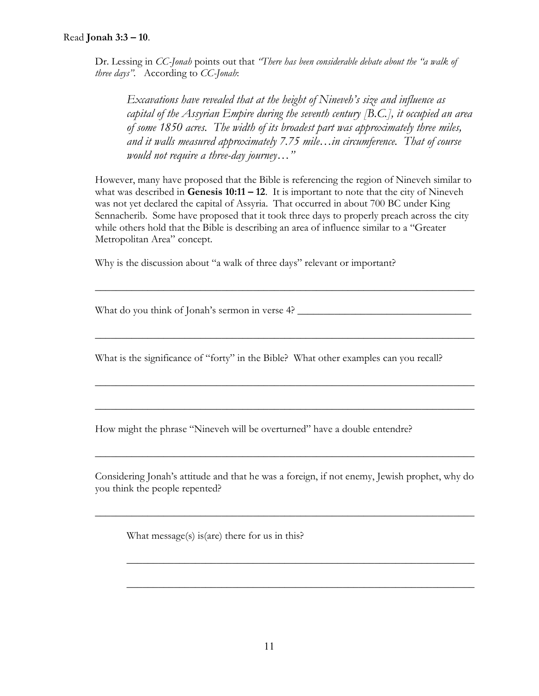## Read Jonah 3:3 – 10.

Dr. Lessing in CC-Jonah points out that "There has been considerable debate about the "a walk of three days". According to CC-Jonah:

Excavations have revealed that at the height of Nineveh's size and influence as capital of the Assyrian Empire during the seventh century  $|B.C.|$ , it occupied an area of some 1850 acres. The width of its broadest part was approximately three miles, and it walls measured approximately 7.75 mile…in circumference. That of course would not require a three-day journey..."

However, many have proposed that the Bible is referencing the region of Nineveh similar to what was described in Genesis  $10:11 - 12$ . It is important to note that the city of Nineveh was not yet declared the capital of Assyria. That occurred in about 700 BC under King Sennacherib. Some have proposed that it took three days to properly preach across the city while others hold that the Bible is describing an area of influence similar to a "Greater Metropolitan Area" concept.

 $\overline{\phantom{a}}$  , and the contract of the contract of the contract of the contract of the contract of the contract of the contract of the contract of the contract of the contract of the contract of the contract of the contrac

 $\overline{\phantom{a}}$  , and the contract of the contract of the contract of the contract of the contract of the contract of the contract of the contract of the contract of the contract of the contract of the contract of the contrac

 $\overline{\phantom{a}}$  , and the contract of the contract of the contract of the contract of the contract of the contract of the contract of the contract of the contract of the contract of the contract of the contract of the contrac

 $\overline{\phantom{a}}$  , and the contract of the contract of the contract of the contract of the contract of the contract of the contract of the contract of the contract of the contract of the contract of the contract of the contrac

Why is the discussion about "a walk of three days" relevant or important?

What do you think of Jonah's sermon in verse 4?

What is the significance of "forty" in the Bible? What other examples can you recall?

How might the phrase "Nineveh will be overturned" have a double entendre?

Considering Jonah's attitude and that he was a foreign, if not enemy, Jewish prophet, why do you think the people repented?

 $\overline{\phantom{a}}$  , and the contract of the contract of the contract of the contract of the contract of the contract of the contract of the contract of the contract of the contract of the contract of the contract of the contrac

 $\overline{\phantom{a}}$  , and the contract of the contract of the contract of the contract of the contract of the contract of the contract of the contract of the contract of the contract of the contract of the contract of the contrac

 $\overline{\phantom{a}}$  , and the contract of the contract of the contract of the contract of the contract of the contract of the contract of the contract of the contract of the contract of the contract of the contract of the contrac

 $\overline{\phantom{a}}$  , and the contract of the contract of the contract of the contract of the contract of the contract of the contract of the contract of the contract of the contract of the contract of the contract of the contrac

What message(s) is(are) there for us in this?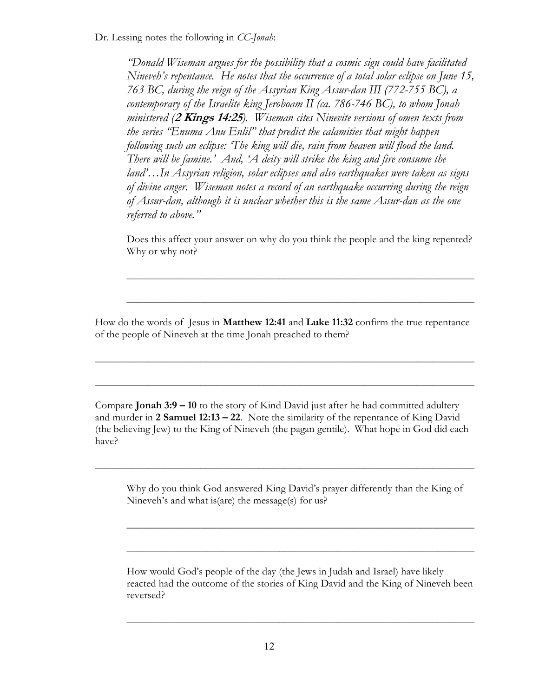Dr. Lessing notes the following in *CC-Jonah*:

"Donald Wiseman argues for the possibility that a cosmic sign could have facilitated Nineveh's repentance. He notes that the occurrence of a total solar eclipse on June 15, 763 BC, during the reign of the Assyrian King Assur-dan III (772-755 BC), a contemporary of the Israelite king Jeroboam II (ca. 786-746 BC), to whom Jonah ministered (2 Kings 14:25). Wiseman cites Ninevite versions of omen texts from the series "Enuma Anu Enlil" that predict the calamities that might happen following such an eclipse: 'The king will die, rain from heaven will flood the land. There will be famine.' And, 'A deity will strike the king and fire consume the land'…In Assyrian religion, solar eclipses and also earthquakes were taken as signs of divine anger. Wiseman notes a record of an earthquake occurring during the reign of Assur-dan, although it is unclear whether this is the same Assur-dan as the one referred to above."

Does this affect your answer on why do you think the people and the king repented? Why or why not?

 $\overline{\phantom{a}}$  , and the contract of the contract of the contract of the contract of the contract of the contract of the contract of the contract of the contract of the contract of the contract of the contract of the contrac

 $\overline{\phantom{a}}$  , and the contract of the contract of the contract of the contract of the contract of the contract of the contract of the contract of the contract of the contract of the contract of the contract of the contrac

How do the words of Jesus in Matthew 12:41 and Luke 11:32 confirm the true repentance of the people of Nineveh at the time Jonah preached to them?

 $\overline{\phantom{a}}$  , and the contract of the contract of the contract of the contract of the contract of the contract of the contract of the contract of the contract of the contract of the contract of the contract of the contrac

 $\overline{\phantom{a}}$  , and the contract of the contract of the contract of the contract of the contract of the contract of the contract of the contract of the contract of the contract of the contract of the contract of the contrac

Compare **Jonah 3:9 – 10** to the story of Kind David just after he had committed adultery and murder in  $2$  Samuel  $12:13 - 22$ . Note the similarity of the repentance of King David (the believing Jew) to the King of Nineveh (the pagan gentile). What hope in God did each have?

 $\overline{\phantom{a}}$  , and the contract of the contract of the contract of the contract of the contract of the contract of the contract of the contract of the contract of the contract of the contract of the contract of the contrac

Why do you think God answered King David's prayer differently than the King of Nineveh's and what is(are) the message(s) for us?

 $\overline{\phantom{a}}$  , and the contract of the contract of the contract of the contract of the contract of the contract of the contract of the contract of the contract of the contract of the contract of the contract of the contrac

 $\overline{\phantom{a}}$  , and the contract of the contract of the contract of the contract of the contract of the contract of the contract of the contract of the contract of the contract of the contract of the contract of the contrac

How would God's people of the day (the Jews in Judah and Israel) have likely reacted had the outcome of the stories of King David and the King of Nineveh been reversed?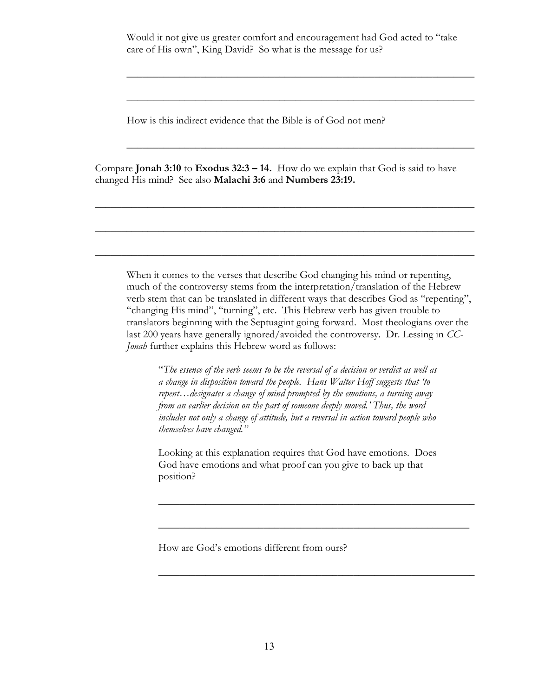Would it not give us greater comfort and encouragement had God acted to "take care of His own", King David? So what is the message for us?

 $\overline{\phantom{a}}$  , and the contract of the contract of the contract of the contract of the contract of the contract of the contract of the contract of the contract of the contract of the contract of the contract of the contrac

 $\overline{\phantom{a}}$  , and the contract of the contract of the contract of the contract of the contract of the contract of the contract of the contract of the contract of the contract of the contract of the contract of the contrac

 $\overline{\phantom{a}}$  , and the contract of the contract of the contract of the contract of the contract of the contract of the contract of the contract of the contract of the contract of the contract of the contract of the contrac

How is this indirect evidence that the Bible is of God not men?

Compare Jonah 3:10 to Exodus  $32:3 - 14$ . How do we explain that God is said to have changed His mind? See also Malachi 3:6 and Numbers 23:19.

 $\overline{\phantom{a}}$  , and the contract of the contract of the contract of the contract of the contract of the contract of the contract of the contract of the contract of the contract of the contract of the contract of the contrac

 $\overline{\phantom{a}}$  , and the contract of the contract of the contract of the contract of the contract of the contract of the contract of the contract of the contract of the contract of the contract of the contract of the contrac

 $\overline{\phantom{a}}$  , and the contract of the contract of the contract of the contract of the contract of the contract of the contract of the contract of the contract of the contract of the contract of the contract of the contrac

When it comes to the verses that describe God changing his mind or repenting, much of the controversy stems from the interpretation/translation of the Hebrew verb stem that can be translated in different ways that describes God as "repenting", "changing His mind", "turning", etc. This Hebrew verb has given trouble to translators beginning with the Septuagint going forward. Most theologians over the last 200 years have generally ignored/avoided the controversy. Dr. Lessing in CC-Jonah further explains this Hebrew word as follows:

"The essence of the verb seems to be the reversal of a decision or verdict as well as a change in disposition toward the people. Hans Walter Hoff suggests that 'to repent...designates a change of mind prompted by the emotions, a turning away from an earlier decision on the part of someone deeply moved.' Thus, the word includes not only a change of attitude, but a reversal in action toward people who themselves have changed."

Looking at this explanation requires that God have emotions. Does God have emotions and what proof can you give to back up that position?

 $\frac{1}{2}$  ,  $\frac{1}{2}$  ,  $\frac{1}{2}$  ,  $\frac{1}{2}$  ,  $\frac{1}{2}$  ,  $\frac{1}{2}$  ,  $\frac{1}{2}$  ,  $\frac{1}{2}$  ,  $\frac{1}{2}$  ,  $\frac{1}{2}$  ,  $\frac{1}{2}$  ,  $\frac{1}{2}$  ,  $\frac{1}{2}$  ,  $\frac{1}{2}$  ,  $\frac{1}{2}$  ,  $\frac{1}{2}$  ,  $\frac{1}{2}$  ,  $\frac{1}{2}$  ,  $\frac{1$ 

 $\overline{\phantom{a}}$  , and the contract of the contract of the contract of the contract of the contract of the contract of the contract of the contract of the contract of the contract of the contract of the contract of the contrac

 $\frac{1}{2}$  ,  $\frac{1}{2}$  ,  $\frac{1}{2}$  ,  $\frac{1}{2}$  ,  $\frac{1}{2}$  ,  $\frac{1}{2}$  ,  $\frac{1}{2}$  ,  $\frac{1}{2}$  ,  $\frac{1}{2}$  ,  $\frac{1}{2}$  ,  $\frac{1}{2}$  ,  $\frac{1}{2}$  ,  $\frac{1}{2}$  ,  $\frac{1}{2}$  ,  $\frac{1}{2}$  ,  $\frac{1}{2}$  ,  $\frac{1}{2}$  ,  $\frac{1}{2}$  ,  $\frac{1$ 

How are God's emotions different from ours?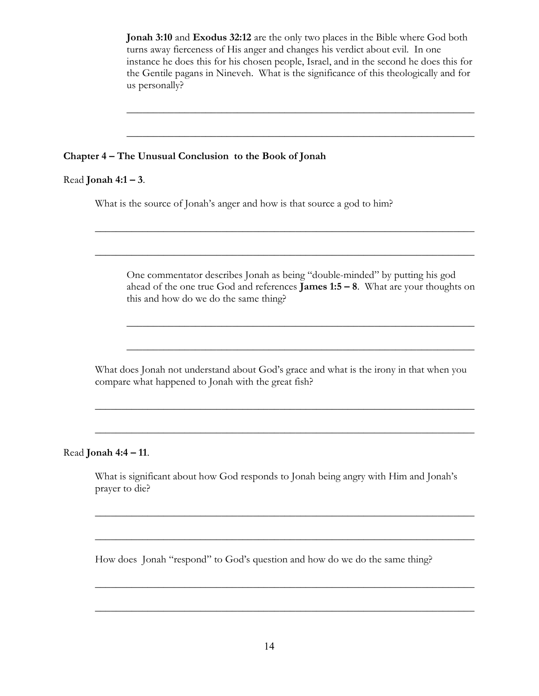Jonah 3:10 and Exodus 32:12 are the only two places in the Bible where God both turns away fierceness of His anger and changes his verdict about evil. In one instance he does this for his chosen people, Israel, and in the second he does this for the Gentile pagans in Nineveh. What is the significance of this theologically and for us personally?

 $\overline{\phantom{a}}$  , and the contract of the contract of the contract of the contract of the contract of the contract of the contract of the contract of the contract of the contract of the contract of the contract of the contrac

\_\_\_\_\_\_\_\_\_\_\_\_\_\_\_\_\_\_\_\_\_\_\_\_\_\_\_\_\_\_\_\_\_\_\_\_\_\_\_\_\_\_\_\_\_\_\_\_\_\_\_\_\_\_\_\_\_\_\_\_\_\_\_\_\_\_

### Chapter 4 – The Unusual Conclusion to the Book of Jonah

#### Read **Jonah 4:1 – 3**.

What is the source of Jonah's anger and how is that source a god to him?

One commentator describes Jonah as being "double-minded" by putting his god ahead of the one true God and references **James 1:5 – 8**. What are your thoughts on this and how do we do the same thing?

 $\overline{\phantom{a}}$  , and the contract of the contract of the contract of the contract of the contract of the contract of the contract of the contract of the contract of the contract of the contract of the contract of the contrac

 $\overline{\phantom{a}}$  , and the contract of the contract of the contract of the contract of the contract of the contract of the contract of the contract of the contract of the contract of the contract of the contract of the contrac

 $\overline{\phantom{a}}$  , and the contract of the contract of the contract of the contract of the contract of the contract of the contract of the contract of the contract of the contract of the contract of the contract of the contrac

What does Jonah not understand about God's grace and what is the irony in that when you compare what happened to Jonah with the great fish?

 $\overline{\phantom{a}}$  , and the contract of the contract of the contract of the contract of the contract of the contract of the contract of the contract of the contract of the contract of the contract of the contract of the contrac

 $\overline{\phantom{a}}$  , and the contract of the contract of the contract of the contract of the contract of the contract of the contract of the contract of the contract of the contract of the contract of the contract of the contrac

#### Read Jonah 4:4 – 11.

What is significant about how God responds to Jonah being angry with Him and Jonah's prayer to die?

 $\overline{\phantom{a}}$  , and the contract of the contract of the contract of the contract of the contract of the contract of the contract of the contract of the contract of the contract of the contract of the contract of the contrac

 $\overline{\phantom{a}}$  , and the contract of the contract of the contract of the contract of the contract of the contract of the contract of the contract of the contract of the contract of the contract of the contract of the contrac

 $\overline{\phantom{a}}$  , and the contract of the contract of the contract of the contract of the contract of the contract of the contract of the contract of the contract of the contract of the contract of the contract of the contrac

 $\overline{\phantom{a}}$  , and the contract of the contract of the contract of the contract of the contract of the contract of the contract of the contract of the contract of the contract of the contract of the contract of the contrac

How does Jonah "respond" to God's question and how do we do the same thing?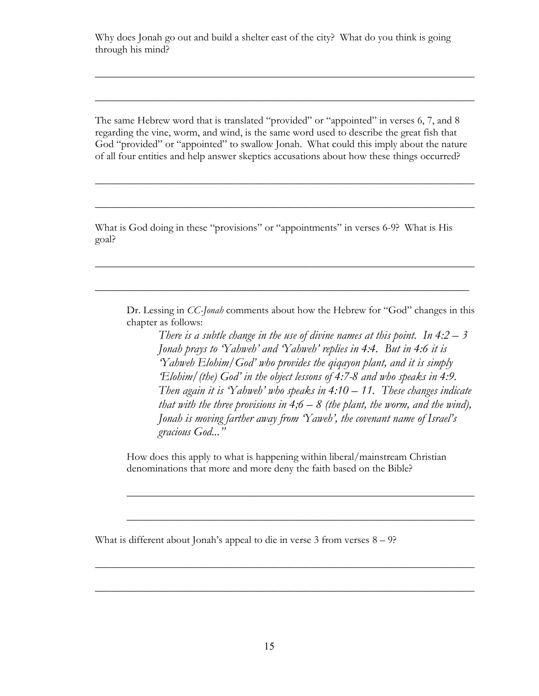Why does Jonah go out and build a shelter east of the city? What do you think is going through his mind?

The same Hebrew word that is translated "provided" or "appointed" in verses 6, 7, and 8 regarding the vine, worm, and wind, is the same word used to describe the great fish that God "provided" or "appointed" to swallow Jonah. What could this imply about the nature of all four entities and help answer skeptics accusations about how these things occurred?

 $\overline{\phantom{a}}$  , and the contract of the contract of the contract of the contract of the contract of the contract of the contract of the contract of the contract of the contract of the contract of the contract of the contrac

 $\overline{\phantom{a}}$  , and the contract of the contract of the contract of the contract of the contract of the contract of the contract of the contract of the contract of the contract of the contract of the contract of the contrac

 $\overline{\phantom{a}}$  , and the contract of the contract of the contract of the contract of the contract of the contract of the contract of the contract of the contract of the contract of the contract of the contract of the contrac

 $\overline{\phantom{a}}$  , and the contract of the contract of the contract of the contract of the contract of the contract of the contract of the contract of the contract of the contract of the contract of the contract of the contrac

 $\overline{\phantom{a}}$  , and the contract of the contract of the contract of the contract of the contract of the contract of the contract of the contract of the contract of the contract of the contract of the contract of the contrac

 $\overline{\phantom{a}}$  , and the contract of the contract of the contract of the contract of the contract of the contract of the contract of the contract of the contract of the contract of the contract of the contract of the contrac

What is God doing in these "provisions" or "appointments" in verses 6-9? What is His goal?

Dr. Lessing in *CC-Jonah* comments about how the Hebrew for "God" changes in this chapter as follows:

There is a subtle change in the use of divine names at this point. In  $4:2-3$ Jonah prays to 'Yahweh' and 'Yahweh' replies in 4:4. But in 4:6 it is 'Yahweh Elohim/God' who provides the qiqayon plant, and it is simply 'Elohim/(the) God' in the object lessons of 4:7-8 and who speaks in 4:9. Then again it is 'Yahweh' who speaks in  $4:10-11$ . These changes indicate that with the three provisions in  $4,6 - 8$  (the plant, the worm, and the wind), Jonah is moving farther away from 'Yaweh', the covenant name of Israel's gracious God..."

How does this apply to what is happening within liberal/mainstream Christian denominations that more and more deny the faith based on the Bible?

 $\overline{\phantom{a}}$  , and the contract of the contract of the contract of the contract of the contract of the contract of the contract of the contract of the contract of the contract of the contract of the contract of the contrac

 $\overline{\phantom{a}}$  , and the contract of the contract of the contract of the contract of the contract of the contract of the contract of the contract of the contract of the contract of the contract of the contract of the contrac

 $\overline{\phantom{a}}$  , and the contract of the contract of the contract of the contract of the contract of the contract of the contract of the contract of the contract of the contract of the contract of the contract of the contrac

 $\overline{\phantom{a}}$  , and the contract of the contract of the contract of the contract of the contract of the contract of the contract of the contract of the contract of the contract of the contract of the contract of the contrac

What is different about Jonah's appeal to die in verse  $3$  from verses  $8 - 9$ ?